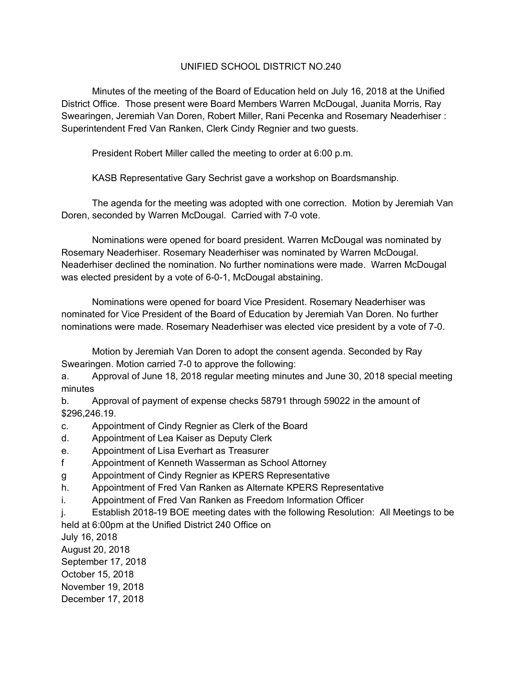## UNIFIED SCHOOL DISTRICT NO.240

 Minutes of the meeting of the Board of Education held on July 16, 2018 at the Unified District Office. Those present were Board Members Warren McDougal, Juanita Morris, Ray Swearingen, Jeremiah Van Doren, Robert Miller, Rani Pecenka and Rosemary Neaderhiser : Superintendent Fred Van Ranken, Clerk Cindy Regnier and two guests.

President Robert Miller called the meeting to order at 6:00 p.m.

KASB Representative Gary Sechrist gave a workshop on Boardsmanship.

 The agenda for the meeting was adopted with one correction. Motion by Jeremiah Van Doren, seconded by Warren McDougal. Carried with 7-0 vote.

 Nominations were opened for board president. Warren McDougal was nominated by Rosemary Neaderhiser. Rosemary Neaderhiser was nominated by Warren McDougal. Neaderhiser declined the nomination. No further nominations were made. Warren McDougal was elected president by a vote of 6-0-1, McDougal abstaining.

 Nominations were opened for board Vice President. Rosemary Neaderhiser was nominated for Vice President of the Board of Education by Jeremiah Van Doren. No further nominations were made. Rosemary Neaderhiser was elected vice president by a vote of 7-0.

 Motion by Jeremiah Van Doren to adopt the consent agenda. Seconded by Ray Swearingen. Motion carried 7-0 to approve the following:

a. Approval of June 18, 2018 regular meeting minutes and June 30, 2018 special meeting minutes

b. Approval of payment of expense checks 58791 through 59022 in the amount of \$296,246.19.

- c. Appointment of Cindy Regnier as Clerk of the Board
- d. Appointment of Lea Kaiser as Deputy Clerk
- e. Appointment of Lisa Everhart as Treasurer
- f Appointment of Kenneth Wasserman as School Attorney
- g Appointment of Cindy Regnier as KPERS Representative
- h. Appointment of Fred Van Ranken as Alternate KPERS Representative
- i. Appointment of Fred Van Ranken as Freedom Information Officer
- j. Establish 2018-19 BOE meeting dates with the following Resolution: All Meetings to be

held at 6:00pm at the Unified District 240 Office on

July 16, 2018 August 20, 2018 September 17, 2018 October 15, 2018 November 19, 2018 December 17, 2018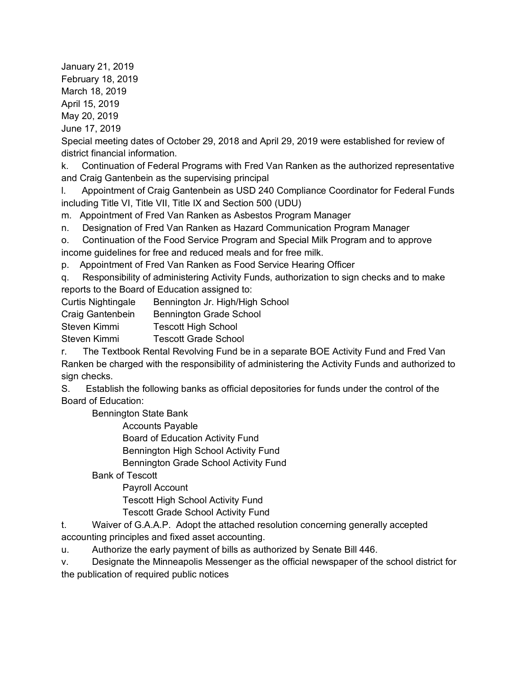January 21, 2019 February 18, 2019 March 18, 2019 April 15, 2019 May 20, 2019 June 17, 2019

Special meeting dates of October 29, 2018 and April 29, 2019 were established for review of district financial information.

k. Continuation of Federal Programs with Fred Van Ranken as the authorized representative and Craig Gantenbein as the supervising principal

l. Appointment of Craig Gantenbein as USD 240 Compliance Coordinator for Federal Funds including Title VI, Title VII, Title IX and Section 500 (UDU)

m. Appointment of Fred Van Ranken as Asbestos Program Manager

n. Designation of Fred Van Ranken as Hazard Communication Program Manager

o. Continuation of the Food Service Program and Special Milk Program and to approve income guidelines for free and reduced meals and for free milk.

p. Appointment of Fred Van Ranken as Food Service Hearing Officer

q. Responsibility of administering Activity Funds, authorization to sign checks and to make reports to the Board of Education assigned to:

Curtis Nightingale Bennington Jr. High/High School

Craig Gantenbein Bennington Grade School

Steven Kimmi Tescott High School

Steven Kimmi Tescott Grade School

r. The Textbook Rental Revolving Fund be in a separate BOE Activity Fund and Fred Van Ranken be charged with the responsibility of administering the Activity Funds and authorized to sign checks.

S. Establish the following banks as official depositories for funds under the control of the Board of Education:

Bennington State Bank

Accounts Payable

Board of Education Activity Fund

Bennington High School Activity Fund

Bennington Grade School Activity Fund

Bank of Tescott

Payroll Account

Tescott High School Activity Fund

Tescott Grade School Activity Fund

t. Waiver of G.A.A.P. Adopt the attached resolution concerning generally accepted accounting principles and fixed asset accounting.

u. Authorize the early payment of bills as authorized by Senate Bill 446.

v. Designate the Minneapolis Messenger as the official newspaper of the school district for the publication of required public notices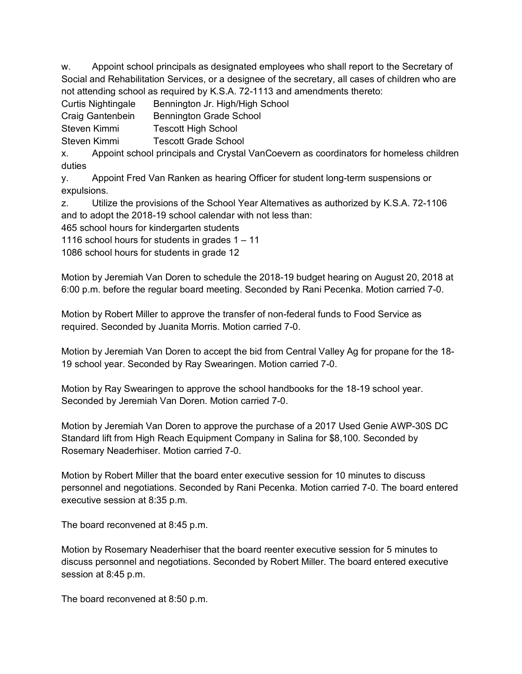w. Appoint school principals as designated employees who shall report to the Secretary of Social and Rehabilitation Services, or a designee of the secretary, all cases of children who are not attending school as required by K.S.A. 72-1113 and amendments thereto:

Curtis Nightingale Bennington Jr. High/High School

Craig Gantenbein Bennington Grade School

Steven Kimmi Tescott High School

Steven Kimmi Tescott Grade School

x. Appoint school principals and Crystal VanCoevern as coordinators for homeless children duties

y. Appoint Fred Van Ranken as hearing Officer for student long-term suspensions or expulsions.

z. Utilize the provisions of the School Year Alternatives as authorized by K.S.A. 72-1106 and to adopt the 2018-19 school calendar with not less than:

465 school hours for kindergarten students

1116 school hours for students in grades 1 – 11

1086 school hours for students in grade 12

Motion by Jeremiah Van Doren to schedule the 2018-19 budget hearing on August 20, 2018 at 6:00 p.m. before the regular board meeting. Seconded by Rani Pecenka. Motion carried 7-0.

Motion by Robert Miller to approve the transfer of non-federal funds to Food Service as required. Seconded by Juanita Morris. Motion carried 7-0.

Motion by Jeremiah Van Doren to accept the bid from Central Valley Ag for propane for the 18- 19 school year. Seconded by Ray Swearingen. Motion carried 7-0.

Motion by Ray Swearingen to approve the school handbooks for the 18-19 school year. Seconded by Jeremiah Van Doren. Motion carried 7-0.

Motion by Jeremiah Van Doren to approve the purchase of a 2017 Used Genie AWP-30S DC Standard lift from High Reach Equipment Company in Salina for \$8,100. Seconded by Rosemary Neaderhiser. Motion carried 7-0.

Motion by Robert Miller that the board enter executive session for 10 minutes to discuss personnel and negotiations. Seconded by Rani Pecenka. Motion carried 7-0. The board entered executive session at 8:35 p.m.

The board reconvened at 8:45 p.m.

Motion by Rosemary Neaderhiser that the board reenter executive session for 5 minutes to discuss personnel and negotiations. Seconded by Robert Miller. The board entered executive session at 8:45 p.m.

The board reconvened at 8:50 p.m.